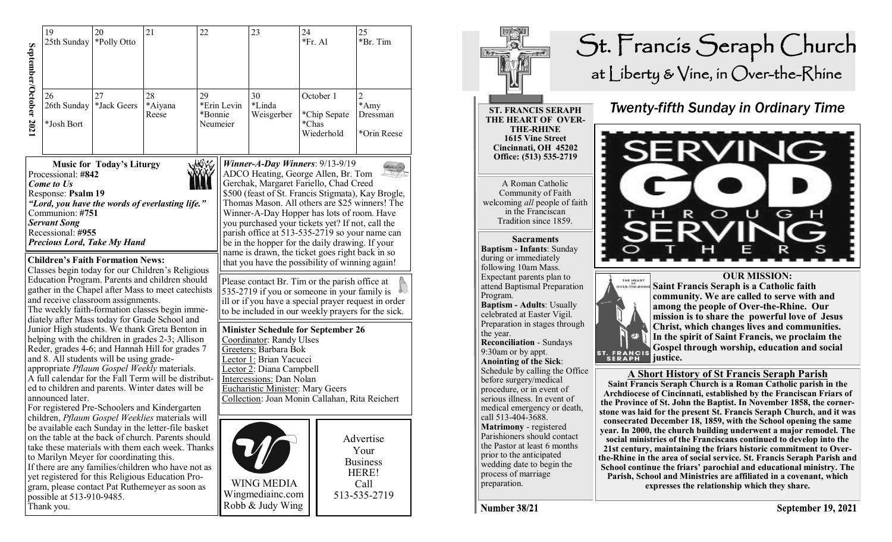|                                                                                                                                                                                                                                                                                                                                                                                                                                                                                                                                                                                                                                                                                                                                              | 19<br>25th Sunday                       | 20<br>*Polly Otto                       | 21                                                                                                                                                                                                                                                                                                                       | 22                        |                                                                                                                                                                                                                                                                                                                                                                                                                                                                                                                                              | 23                                                                                                                                                                                                                                                                             | 24<br>*Fr. Al |                                         | 25<br>*Br. Tim                                                        |  |
|----------------------------------------------------------------------------------------------------------------------------------------------------------------------------------------------------------------------------------------------------------------------------------------------------------------------------------------------------------------------------------------------------------------------------------------------------------------------------------------------------------------------------------------------------------------------------------------------------------------------------------------------------------------------------------------------------------------------------------------------|-----------------------------------------|-----------------------------------------|--------------------------------------------------------------------------------------------------------------------------------------------------------------------------------------------------------------------------------------------------------------------------------------------------------------------------|---------------------------|----------------------------------------------------------------------------------------------------------------------------------------------------------------------------------------------------------------------------------------------------------------------------------------------------------------------------------------------------------------------------------------------------------------------------------------------------------------------------------------------------------------------------------------------|--------------------------------------------------------------------------------------------------------------------------------------------------------------------------------------------------------------------------------------------------------------------------------|---------------|-----------------------------------------|-----------------------------------------------------------------------|--|
| September/October 2021                                                                                                                                                                                                                                                                                                                                                                                                                                                                                                                                                                                                                                                                                                                       | 26<br>26th Sunday<br>*Josh Bort         | 27<br>*Jack Geers                       | 28<br>*Aiyana<br>Reese                                                                                                                                                                                                                                                                                                   | 29<br>*Bonnie<br>Neumeier | *Erin Levin                                                                                                                                                                                                                                                                                                                                                                                                                                                                                                                                  | 30<br>*Linda<br>Weisgerber                                                                                                                                                                                                                                                     | *Chas         | October 1<br>*Chip Sepate<br>Wiederhold | $\overline{2}$<br>*Amy<br>Dressman<br>*Orin Reese                     |  |
| <b>MAY W</b><br><b>Music for Today's Liturgy</b><br>Processional: #842<br>Come to Us<br>Response: Psalm 19<br>"Lord, you have the words of everlasting life."<br>Communion: #751<br><b>Servant Song</b><br>Recessional: #955<br><b>Precious Lord, Take My Hand</b><br><b>Children's Faith Formation News:</b><br>Classes begin today for our Children's Religious                                                                                                                                                                                                                                                                                                                                                                            |                                         |                                         |                                                                                                                                                                                                                                                                                                                          |                           | <b>Winner-A-Day Winners: 9/13-9/19</b><br>ADCO Heating, George Allen, Br. Tom<br>Gerchak, Margaret Fariello, Chad Creed<br>\$500 (feast of St. Francis Stigmata), Kay Brogle,<br>Thomas Mason. All others are \$25 winners! The<br>Winner-A-Day Hopper has lots of room. Have<br>you purchased your tickets yet? If not, call the<br>parish office at 513-535-2719 so your name can<br>be in the hopper for the daily drawing. If your<br>name is drawn, the ticket goes right back in so<br>that you have the possibility of winning again! |                                                                                                                                                                                                                                                                                |               |                                         |                                                                       |  |
| Education Program. Parents and children should<br>gather in the Chapel after Mass to meet catechists<br>and receive classroom assignments.<br>The weekly faith-formation classes begin imme-<br>diately after Mass today for Grade School and<br>Junior High students. We thank Greta Benton in<br>helping with the children in grades 2-3; Allison<br>Reder, grades 4-6; and Hannah Hill for grades 7<br>and 8. All students will be using grade-<br>appropriate Pflaum Gospel Weekly materials.<br>A full calendar for the Fall Term will be distribut-<br>ed to children and parents. Winter dates will be<br>announced later.<br>For registered Pre-Schoolers and Kindergarten<br>children, <i>Pflaum Gospel Weeklies</i> materials will |                                         |                                         |                                                                                                                                                                                                                                                                                                                          |                           |                                                                                                                                                                                                                                                                                                                                                                                                                                                                                                                                              | Please contact Br. Tim or the parish office at<br>535-2719 if you or someone in your family is<br>ill or if you have a special prayer request in order<br>to be included in our weekly prayers for the sick.                                                                   |               |                                         |                                                                       |  |
|                                                                                                                                                                                                                                                                                                                                                                                                                                                                                                                                                                                                                                                                                                                                              |                                         |                                         |                                                                                                                                                                                                                                                                                                                          |                           |                                                                                                                                                                                                                                                                                                                                                                                                                                                                                                                                              | <b>Minister Schedule for September 26</b><br>Coordinator: Randy Ulses<br>Greeters: Barbara Bok<br>Lector 1: Brian Yacucci<br>Lector 2: Diana Campbell<br>Intercessions: Dan Nolan<br><b>Eucharistic Minister: Mary Geers</b><br>Collection: Joan Monin Callahan, Rita Reichert |               |                                         |                                                                       |  |
|                                                                                                                                                                                                                                                                                                                                                                                                                                                                                                                                                                                                                                                                                                                                              | possible at 513-910-9485.<br>Thank vou. | to Marilyn Meyer for coordinating this. | be available each Sunday in the letter-file basket<br>on the table at the back of church. Parents should<br>take these materials with them each week. Thanks<br>If there are any families/children who have not as<br>yet registered for this Religious Education Pro-<br>gram, please contact Pat Ruthemeyer as soon as |                           |                                                                                                                                                                                                                                                                                                                                                                                                                                                                                                                                              | <b>WING MEDIA</b><br>Wingmediainc.com<br>Robb & Judy Wing                                                                                                                                                                                                                      |               |                                         | Advertise<br>Your<br><b>Business</b><br>HERE!<br>Call<br>513-535-2719 |  |



Number 38/21